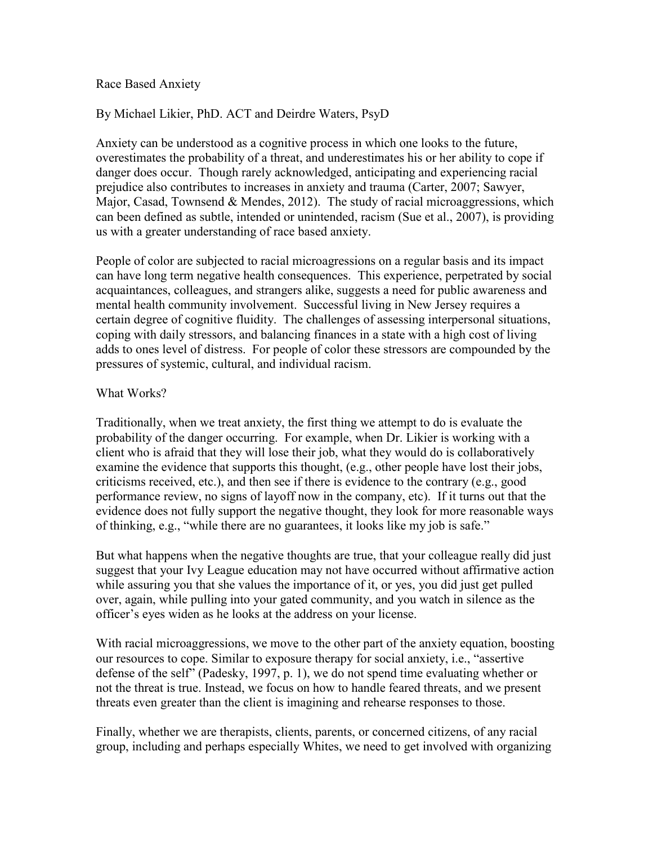Race Based Anxiety

By Michael Likier, PhD. ACT and Deirdre Waters, PsyD

Anxiety can be understood as a cognitive process in which one looks to the future, overestimates the probability of a threat, and underestimates his or her ability to cope if danger does occur. Though rarely acknowledged, anticipating and experiencing racial prejudice also contributes to increases in anxiety and trauma (Carter, 2007; Sawyer, Major, Casad, Townsend & Mendes, 2012). The study of racial microaggressions, which can been defined as subtle, intended or unintended, racism (Sue et al., 2007), is providing us with a greater understanding of race based anxiety.

People of color are subjected to racial microagressions on a regular basis and its impact can have long term negative health consequences. This experience, perpetrated by social acquaintances, colleagues, and strangers alike, suggests a need for public awareness and mental health community involvement. Successful living in New Jersey requires a certain degree of cognitive fluidity. The challenges of assessing interpersonal situations, coping with daily stressors, and balancing finances in a state with a high cost of living adds to ones level of distress. For people of color these stressors are compounded by the pressures of systemic, cultural, and individual racism.

## What Works?

Traditionally, when we treat anxiety, the first thing we attempt to do is evaluate the probability of the danger occurring. For example, when Dr. Likier is working with a client who is afraid that they will lose their job, what they would do is collaboratively examine the evidence that supports this thought, (e.g., other people have lost their jobs, criticisms received, etc.), and then see if there is evidence to the contrary (e.g., good performance review, no signs of layoff now in the company, etc). If it turns out that the evidence does not fully support the negative thought, they look for more reasonable ways of thinking, e.g., "while there are no guarantees, it looks like my job is safe."

But what happens when the negative thoughts are true, that your colleague really did just suggest that your Ivy League education may not have occurred without affirmative action while assuring you that she values the importance of it, or yes, you did just get pulled over, again, while pulling into your gated community, and you watch in silence as the officer's eyes widen as he looks at the address on your license.

With racial microaggressions, we move to the other part of the anxiety equation, boosting our resources to cope. Similar to exposure therapy for social anxiety, i.e., "assertive defense of the self" (Padesky, 1997, p. 1), we do not spend time evaluating whether or not the threat is true. Instead, we focus on how to handle feared threats, and we present threats even greater than the client is imagining and rehearse responses to those.

Finally, whether we are therapists, clients, parents, or concerned citizens, of any racial group, including and perhaps especially Whites, we need to get involved with organizing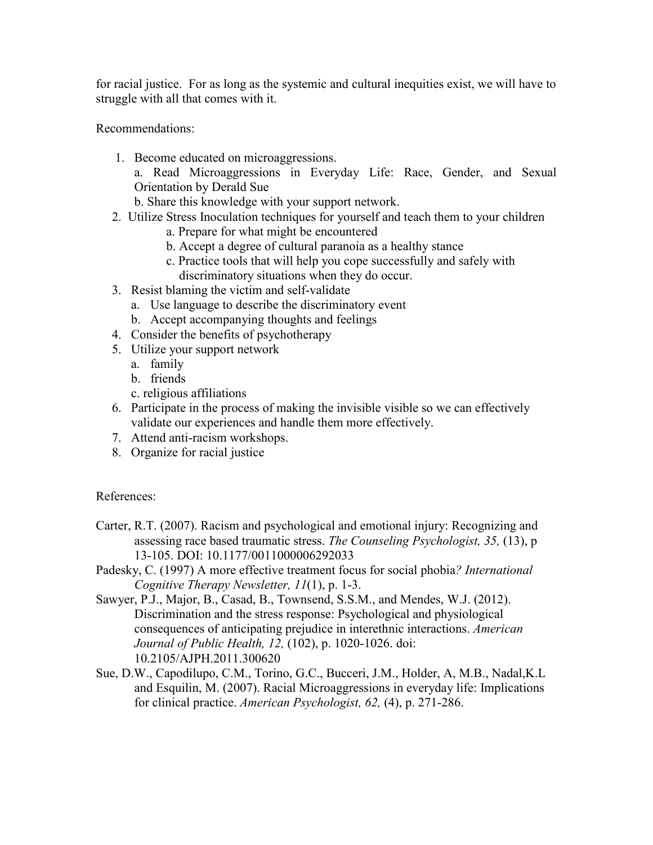for racial justice. For as long as the systemic and cultural inequities exist, we will have to struggle with all that comes with it.

Recommendations:

- 1. Become educated on microaggressions. a. Read Microaggressions in Everyday Life: Race, Gender, and Sexual Orientation by Derald Sue
	- b. Share this knowledge with your support network.
- 2. Utilize Stress Inoculation techniques for yourself and teach them to your children
	- a. Prepare for what might be encountered
	- b. Accept a degree of cultural paranoia as a healthy stance
	- c. Practice tools that will help you cope successfully and safely with discriminatory situations when they do occur.
- 3. Resist blaming the victim and self-validate
	- a. Use language to describe the discriminatory event
	- b. Accept accompanying thoughts and feelings
- 4. Consider the benefits of psychotherapy
- 5. Utilize your support network
	- a. family
	- b. friends
	- c. religious affiliations
- 6. Participate in the process of making the invisible visible so we can effectively validate our experiences and handle them more effectively.
- 7. Attend anti-racism workshops.
- 8. Organize for racial justice

## References:

- Carter, R.T. (2007). Racism and psychological and emotional injury: Recognizing and assessing race based traumatic stress. *The Counseling Psychologist, 35,* (13), p 13-105. DOI: 10.1177/0011000006292033
- Padesky, C. (1997) A more effective treatment focus for social phobia*? International Cognitive Therapy Newsletter, 11*(1), p. 1-3.
- Sawyer, P.J., Major, B., Casad, B., Townsend, S.S.M., and Mendes, W.J. (2012). Discrimination and the stress response: Psychological and physiological consequences of anticipating prejudice in interethnic interactions. *American Journal of Public Health, 12,* (102), p. 1020-1026. doi: 10.2105/AJPH.2011.300620
- Sue, D.W., Capodilupo, C.M., Torino, G.C., Bucceri, J.M., Holder, A, M.B., Nadal,K.L and Esquilin, M. (2007). Racial Microaggressions in everyday life: Implications for clinical practice. *American Psychologist, 62,* (4), p. 271-286.